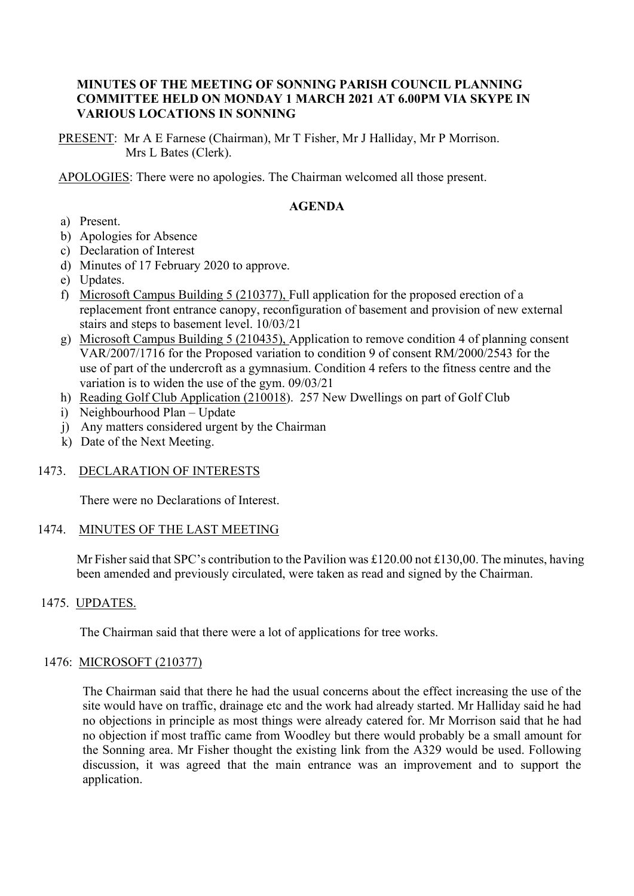### **MINUTES OF THE MEETING OF SONNING PARISH COUNCIL PLANNING COMMITTEE HELD ON MONDAY 1 MARCH 2021 AT 6.00PM VIA SKYPE IN VARIOUS LOCATIONS IN SONNING**

PRESENT: Mr A E Farnese (Chairman), Mr T Fisher, Mr J Halliday, Mr P Morrison. Mrs L Bates (Clerk).

APOLOGIES: There were no apologies. The Chairman welcomed all those present.

## **AGENDA**

- a) Present.
- b) Apologies for Absence
- c) Declaration of Interest
- d) Minutes of 17 February 2020 to approve.
- e) Updates.
- f) Microsoft Campus Building 5 (210377), Full application for the proposed erection of a replacement front entrance canopy, reconfiguration of basement and provision of new external stairs and steps to basement level. 10/03/21
- g) Microsoft Campus Building 5 (210435), Application to remove condition 4 of planning consent VAR/2007/1716 for the Proposed variation to condition 9 of consent RM/2000/2543 for the use of part of the undercroft as a gymnasium. Condition 4 refers to the fitness centre and the variation is to widen the use of the gym. 09/03/21
- h) Reading Golf Club Application (210018). 257 New Dwellings on part of Golf Club
- i) Neighbourhood Plan Update
- j) Any matters considered urgent by the Chairman
- k) Date of the Next Meeting.

### 1473. DECLARATION OF INTERESTS

There were no Declarations of Interest.

### 1474. MINUTES OF THE LAST MEETING

Mr Fisher said that SPC's contribution to the Pavilion was £120.00 not £130,00. The minutes, having been amended and previously circulated, were taken as read and signed by the Chairman.

### 1475. UPDATES.

The Chairman said that there were a lot of applications for tree works.

### 1476: MICROSOFT (210377)

The Chairman said that there he had the usual concerns about the effect increasing the use of the site would have on traffic, drainage etc and the work had already started. Mr Halliday said he had no objections in principle as most things were already catered for. Mr Morrison said that he had no objection if most traffic came from Woodley but there would probably be a small amount for the Sonning area. Mr Fisher thought the existing link from the A329 would be used. Following discussion, it was agreed that the main entrance was an improvement and to support the application.